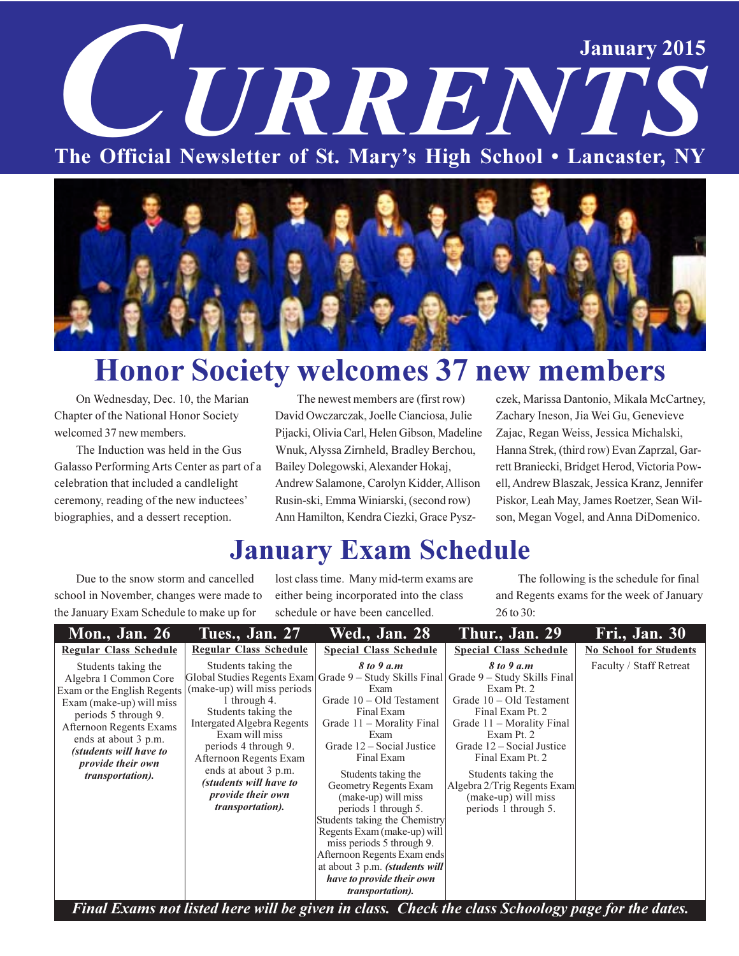# **January 2015** URREN The Official Newsletter of St. Mary's High School . Lancaster, NY



## **Honor Society welcomes 37 new members**

On Wednesday, Dec. 10, the Marian Chapter of the National Honor Society welcomed 37 new members.

The Induction was held in the Gus Galasso Performing Arts Center as part of a celebration that included a candlelight ceremony, reading of the new inductees' biographies, and a dessert reception.

The newest members are (first row) David Owczarczak, Joelle Cianciosa, Julie Pijacki, Olivia Carl, Helen Gibson, Madeline Wnuk, Alyssa Zirnheld, Bradley Berchou, Bailey Dolegowski, Alexander Hokaj, Andrew Salamone, Carolyn Kidder, Allison Rusin-ski, Emma Winiarski, (second row) Ann Hamilton, Kendra Ciezki, Grace Pyszczek, Marissa Dantonio, Mikala McCartney, Zachary Ineson, Jia Wei Gu, Genevieve Zajac, Regan Weiss, Jessica Michalski, Hanna Strek, (third row) Evan Zaprzal, Garrett Braniecki, Bridget Herod, Victoria Powell, Andrew Blaszak, Jessica Kranz, Jennifer Piskor, Leah May, James Roetzer, Sean Wilson, Megan Vogel, and Anna DiDomenico.

## **January Exam Schedule**

Due to the snow storm and cancelled school in November, changes were made to the January Exam Schedule to make up for

lost class time. Many mid-term exams are either being incorporated into the class schedule or have been cancelled.

The following is the schedule for final and Regents exams for the week of January 26 to 30:

| <b>Mon., Jan. 26</b>                                                                                                                                                                                                                                                                        | <b>Tues., Jan. 27</b>                                                                                                                                                                                                                                                                                                                                                | <b>Wed., Jan. 28</b>                                                                                                                                                                                                                                                                                                                                                                                                                                                                         | Thur., Jan. 29                                                                                                                                                                                                                                                                                                                           | <b>Fri., Jan. 30</b>          |
|---------------------------------------------------------------------------------------------------------------------------------------------------------------------------------------------------------------------------------------------------------------------------------------------|----------------------------------------------------------------------------------------------------------------------------------------------------------------------------------------------------------------------------------------------------------------------------------------------------------------------------------------------------------------------|----------------------------------------------------------------------------------------------------------------------------------------------------------------------------------------------------------------------------------------------------------------------------------------------------------------------------------------------------------------------------------------------------------------------------------------------------------------------------------------------|------------------------------------------------------------------------------------------------------------------------------------------------------------------------------------------------------------------------------------------------------------------------------------------------------------------------------------------|-------------------------------|
| <b>Regular Class Schedule</b>                                                                                                                                                                                                                                                               | <b>Regular Class Schedule</b>                                                                                                                                                                                                                                                                                                                                        | <b>Special Class Schedule</b>                                                                                                                                                                                                                                                                                                                                                                                                                                                                | <b>Special Class Schedule</b>                                                                                                                                                                                                                                                                                                            | <b>No School for Students</b> |
| Students taking the<br>Algebra 1 Common Core<br>Exam or the English Regents<br>Exam (make-up) will miss<br>periods 5 through 9.<br><b>Afternoon Regents Exams</b><br>ends at about 3 p.m.<br>(students will have to<br><i>provide their own</i><br><i>transportation</i> ).<br>$\mathbf{r}$ | Students taking the<br>Global Studies Regents Exam<br>(make-up) will miss periods<br>1 through 4.<br>Students taking the<br>Intergated Algebra Regents<br>Exam will miss<br>periods 4 through 9.<br>Afternoon Regents Exam<br>ends at about 3 p.m.<br>(students will have to<br><i>provide their own</i><br><i>transportation</i> ).<br>$\bullet$<br>. .<br>$\cdots$ | 8 to 9 a.m<br>Exam<br>Grade $10 - Old Testament$<br>Final Exam<br>Grade 11 – Morality Final<br>Exam<br>Grade 12 – Social Justice<br>Final Exam<br>Students taking the<br><b>Geometry Regents Exam</b><br>(make-up) will miss<br>periods 1 through 5.<br>Students taking the Chemistry<br>Regents Exam (make-up) will<br>miss periods 5 through 9.<br>Afternoon Regents Exam ends<br>at about 3 p.m. (students will<br>have to provide their own<br><i>transportation</i> ).<br>. .<br>$\sim$ | 8 to 9 a.m<br>Grade 9 – Study Skills Final Grade 9 – Study Skills Final<br>Exam Pt. 2<br>Grade $10 - Old Testament$<br>Final Exam Pt. 2<br>Grade 11 – Morality Final<br>Exam Pt. 2<br>Grade 12 – Social Justice<br>Final Exam Pt. 2<br>Students taking the<br>Algebra 2/Trig Regents Exam<br>(make-up) will miss<br>periods 1 through 5. | Faculty / Staff Retreat       |

Final Exams not listed here will be given in class. Check the class Schoology page for the dates.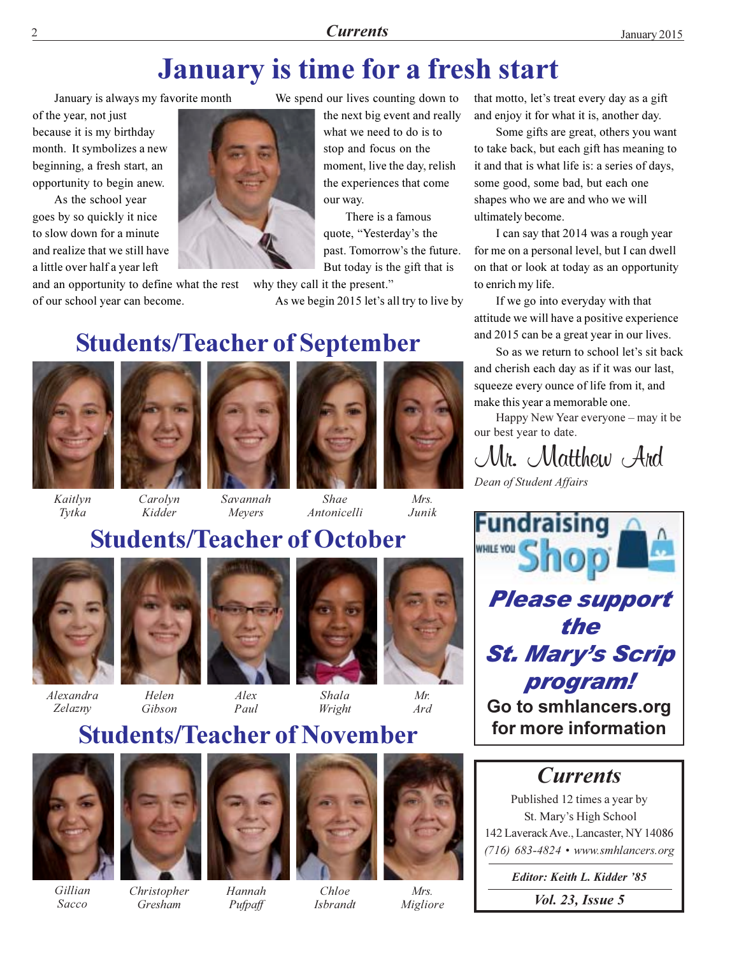## **January is time for a fresh start**

January is always my favorite month

of the year, not just because it is my birthday month. It symbolizes a new beginning, a fresh start, an opportunity to begin anew.

As the school year goes by so quickly it nice to slow down for a minute and realize that we still have a little over half a year left

and an opportunity to define what the rest of our school year can become.

We spend our lives counting down to

the next big event and really what we need to do is to stop and focus on the moment, live the day, relish the experiences that come our way.

There is a famous quote, "Yesterday's the past. Tomorrow's the future. But today is the gift that is

why they call it the present."

As we begin 2015 let's all try to live by

### **Students/Teacher of September**



Kaitlyn

Tytka





Antonicelli



 $Mrs$ 

### Savannah Shae

Junik

### **Students/Teacher of October**

Meyers



*Alexandra* Zelazny



Kidder

Helen Gibson





Shala Wright



# $Mr$  $Ard$

### **Students/Teacher of November**

 $A$ lex

Paul



Gillian Sacco



Gresham



 $Chlo$ e **Isbrandt** 



 $M_{\rm F}$ s Migliore that motto, let's treat every day as a gift and enjoy it for what it is, another day.

Some gifts are great, others you want to take back, but each gift has meaning to it and that is what life is: a series of days, some good, some bad, but each one shapes who we are and who we will ultimately become.

I can say that 2014 was a rough year for me on a personal level, but I can dwell on that or look at today as an opportunity to enrich my life.

If we go into everyday with that attitude we will have a positive experience and 2015 can be a great year in our lives.

So as we return to school let's sit back and cherish each day as if it was our last, squeeze every ounce of life from it, and make this year a memorable one.

Happy New Year everyone - may it be our best year to date.

Mr. Matthew Ard

Dean of Student Affairs



### **Currents**

Published 12 times a year by St. Mary's High School 142 Laverack Ave., Lancaster, NY 14086  $(716)$  683-4824 • www.smhlancers.org

> Editor: Keith L. Kidder '85 *Vol. 23, Issue 5*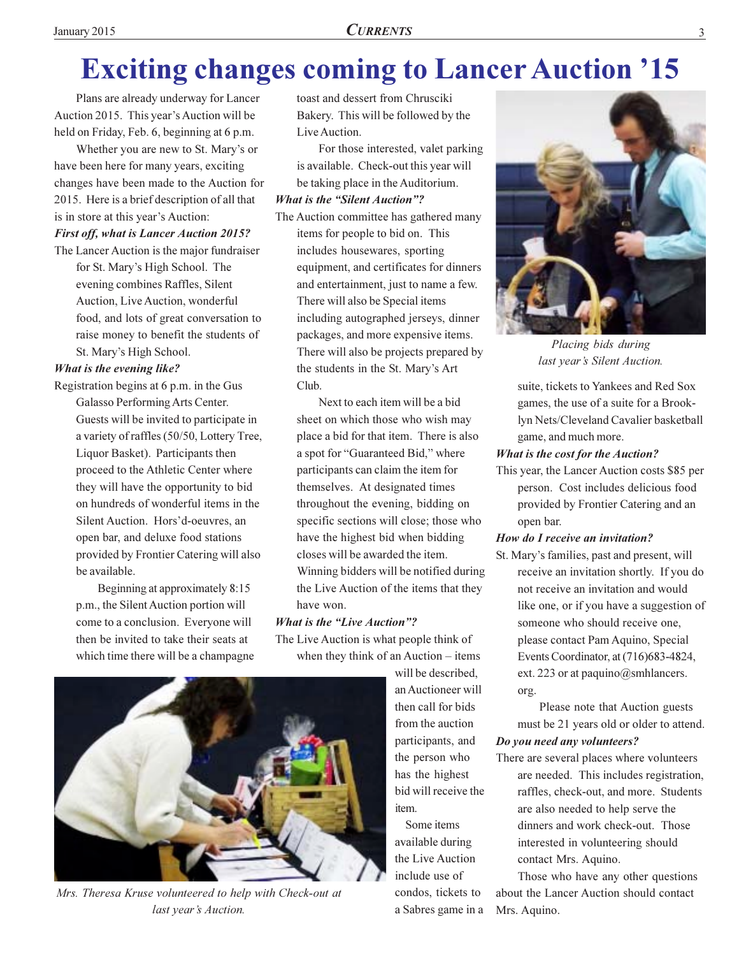## **Exciting changes coming to Lancer Auction '15**

Plans are already underway for Lancer Auction 2015. This year's Auction will be held on Friday, Feb. 6, beginning at 6 p.m.

Whether you are new to St. Mary's or have been here for many years, exciting changes have been made to the Auction for 2015. Here is a brief description of all that is in store at this year's Auction:

#### **First off, what is Lancer Auction 2015?**

The Lancer Auction is the major fundraiser for St. Mary's High School. The evening combines Raffles, Silent Auction, Live Auction, wonderful food, and lots of great conversation to raise money to benefit the students of St. Mary's High School.

#### What is the evening like?

Registration begins at 6 p.m. in the Gus Galasso Performing Arts Center. Guests will be invited to participate in a variety of raffles (50/50, Lottery Tree, Liquor Basket). Participants then proceed to the Athletic Center where they will have the opportunity to bid on hundreds of wonderful items in the Silent Auction. Hors'd-oeuvres, an open bar, and deluxe food stations provided by Frontier Catering will also be available.

Beginning at approximately 8:15 p.m., the Silent Auction portion will come to a conclusion. Everyone will then be invited to take their seats at which time there will be a champagne toast and dessert from Chrusciki Bakery. This will be followed by the Live Auction.

For those interested, valet parking is available. Check-out this year will be taking place in the Auditorium.

#### **What is the "Silent Auction"?**

The Auction committee has gathered many items for people to bid on. This includes housewares, sporting equipment, and certificates for dinners and entertainment, just to name a few. There will also be Special items including autographed jerseys, dinner packages, and more expensive items. There will also be projects prepared by the students in the St. Mary's Art Club.

Next to each item will be a bid sheet on which those who wish may place a bid for that item. There is also a spot for "Guaranteed Bid," where participants can claim the item for themselves. At designated times throughout the evening, bidding on specific sections will close; those who have the highest bid when bidding closes will be awarded the item. Winning bidders will be notified during the Live Auction of the items that they have won.

### **What is the "Live Auction"?**

The Live Auction is what people think of when they think of an Auction  $-$  items

will be described. an Auctioneer will then call for bids from the auction participants, and the person who has the highest bid will receive the  $i$ tem

Some items available during the Live Auction include use of condos, tickets to a Sabres game in a



Placing bids during last year's Silent Auction.

suite, tickets to Yankees and Red Sox games, the use of a suite for a Brooklyn Nets/Cleveland Cavalier basketball game, and much more.

#### **What is the cost for the Auction?**

This year, the Lancer Auction costs \$85 per person. Cost includes delicious food provided by Frontier Catering and an open bar.

### How do I receive an invitation?

St. Mary's families, past and present, will receive an invitation shortly. If you do not receive an invitation and would like one, or if you have a suggestion of someone who should receive one, please contact Pam Aquino, Special Events Coordinator, at (716)683-4824, ext. 223 or at paquino@smhlancers. org.

Please note that Auction guests must be 21 years old or older to attend.

### Do you need any volunteers?

There are several places where volunteers are needed. This includes registration, raffles, check-out, and more. Students are also needed to help serve the dinners and work check-out. Those interested in volunteering should contact Mrs. Aquino.

Those who have any other questions about the Lancer Auction should contact Mrs. Aquino.



Mrs. Theresa Kruse volunteered to help with Check-out at last year's Auction.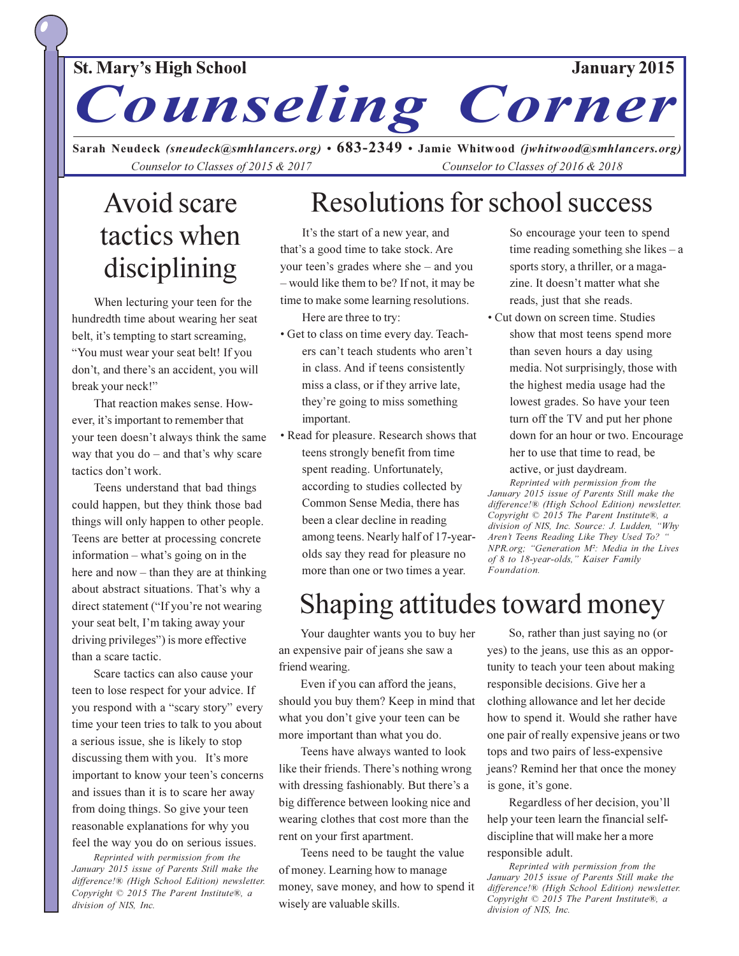### January 2015

### **St. Mary's High School**

Counseling Corner

Sarah Neudeck (sneudeck@smhlancers.org) • 683-2349 • Jamie Whitwood (jwhitwood@smhlancers.org) Counselor to Classes of 2015 & 2017 Counselor to Classes of 2016 & 2018

## **Avoid scare** tactics when disciplining

When lecturing your teen for the hundredth time about wearing her seat belt, it's tempting to start screaming, "You must wear your seat belt! If you don't, and there's an accident, you will break your neck!"

That reaction makes sense. However, it's important to remember that your teen doesn't always think the same way that you  $do$  – and that's why scare tactics don't work.

Teens understand that bad things could happen, but they think those bad things will only happen to other people. Teens are better at processing concrete information – what's going on in the here and now  $-$  than they are at thinking about abstract situations. That's why a direct statement ("If you're not wearing your seat belt, I'm taking away your driving privileges") is more effective than a scare tactic.

Scare tactics can also cause your teen to lose respect for your advice. If you respond with a "scary story" every time your teen tries to talk to you about a serious issue, she is likely to stop discussing them with you. It's more important to know your teen's concerns and issues than it is to scare her away from doing things. So give your teen reasonable explanations for why you feel the way you do on serious issues.

Reprinted with permission from the January 2015 issue of Parents Still make the difference!® (High School Edition) newsletter. Copyright © 2015 The Parent Institute®, a division of NIS, Inc.

## Resolutions for school success

It's the start of a new year, and that's a good time to take stock. Are your teen's grades where she – and you - would like them to be? If not, it may be time to make some learning resolutions.

Here are three to try:

- Get to class on time every day. Teachers can't teach students who aren't in class. And if teens consistently miss a class, or if they arrive late, they're going to miss something important.
- Read for pleasure. Research shows that teens strongly benefit from time spent reading. Unfortunately, according to studies collected by Common Sense Media, there has been a clear decline in reading among teens. Nearly half of 17-yearolds say they read for pleasure no more than one or two times a year.

So encourage your teen to spend time reading something she likes  $-a$ sports story, a thriller, or a magazine. It doesn't matter what she reads, just that she reads.

• Cut down on screen time. Studies show that most teens spend more than seven hours a day using media. Not surprisingly, those with the highest media usage had the lowest grades. So have your teen turn off the TV and put her phone down for an hour or two. Encourage her to use that time to read, be active, or just daydream.

Reprinted with permission from the January 2015 issue of Parents Still make the difference!® (High School Edition) newsletter. Copyright © 2015 The Parent Institute®, a division of NIS, Inc. Source: J. Ludden, "Why Aren't Teens Reading Like They Used To? ' NPR.org; "Generation M<sup>2</sup>: Media in the Lives of 8 to 18-year-olds," Kaiser Family Foundation.

## Shaping attitudes toward money

Your daughter wants you to buy her an expensive pair of jeans she saw a friend wearing.

Even if you can afford the jeans, should you buy them? Keep in mind that what you don't give your teen can be more important than what you do.

Teens have always wanted to look like their friends. There's nothing wrong with dressing fashionably. But there's a big difference between looking nice and wearing clothes that cost more than the rent on your first apartment.

Teens need to be taught the value of money. Learning how to manage money, save money, and how to spend it wisely are valuable skills.

So, rather than just saying no (or yes) to the jeans, use this as an opportunity to teach your teen about making responsible decisions. Give her a clothing allowance and let her decide how to spend it. Would she rather have one pair of really expensive jeans or two tops and two pairs of less-expensive jeans? Remind her that once the money is gone, it's gone.

Regardless of her decision, you'll help your teen learn the financial selfdiscipline that will make her a more responsible adult.

Reprinted with permission from the January 2015 issue of Parents Still make the difference!® (High School Edition) newsletter. Copyright © 2015 The Parent Institute®, a division of NIS, Inc.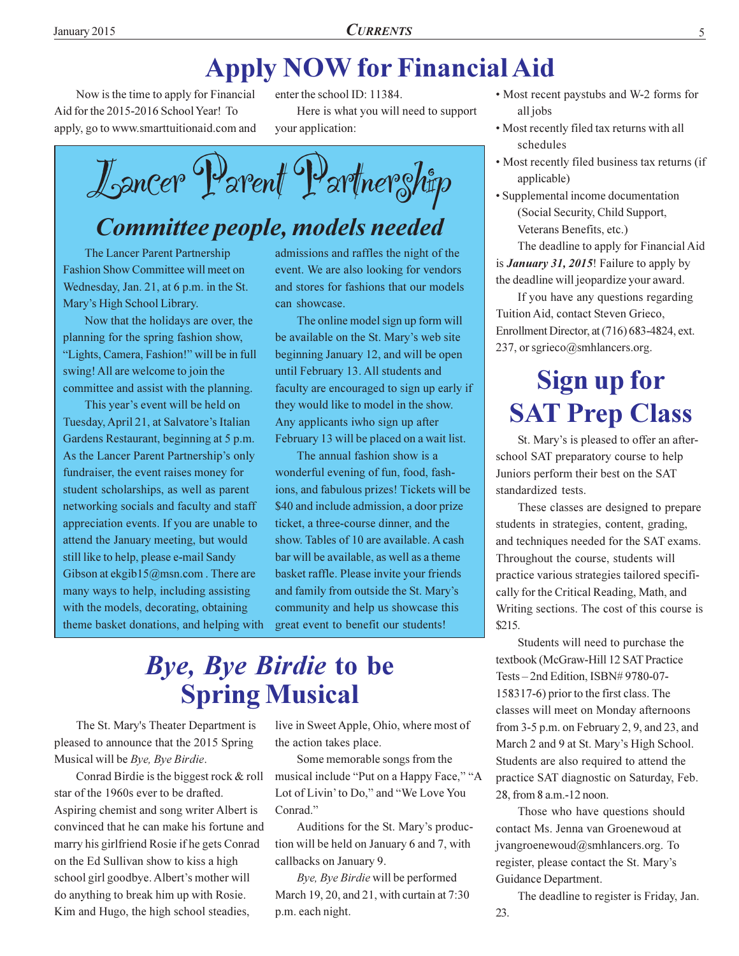## **Apply NOW for Financial Aid**

Now is the time to apply for Financial Aid for the 2015-2016 School Year! To apply, go to www.smarttuitionaid.com and

enter the school ID: 11384. Here is what you will need to support your application:

Lancer Parent Partner Ship

### Committee people, models needed

The Lancer Parent Partnership Fashion Show Committee will meet on Wednesday, Jan. 21, at 6 p.m. in the St. Mary's High School Library.

Now that the holidays are over, the planning for the spring fashion show, "Lights, Camera, Fashion!" will be in full swing! All are welcome to join the committee and assist with the planning.

This year's event will be held on Tuesday, April 21, at Salvatore's Italian Gardens Restaurant, beginning at 5 p.m. As the Lancer Parent Partnership's only fundraiser, the event raises money for student scholarships, as well as parent networking socials and faculty and staff appreciation events. If you are unable to attend the January meeting, but would still like to help, please e-mail Sandy Gibson at ekgib15@msn.com. There are many ways to help, including assisting with the models, decorating, obtaining theme basket donations, and helping with admissions and raffles the night of the event. We are also looking for vendors and stores for fashions that our models can showcase.

The online model sign up form will be available on the St. Mary's web site beginning January 12, and will be open until February 13. All students and faculty are encouraged to sign up early if they would like to model in the show. Any applicants iwho sign up after February 13 will be placed on a wait list.

The annual fashion show is a wonderful evening of fun, food, fashions, and fabulous prizes! Tickets will be \$40 and include admission, a door prize ticket, a three-course dinner, and the show. Tables of 10 are available. A cash bar will be available, as well as a theme basket raffle. Please invite your friends and family from outside the St. Mary's community and help us showcase this great event to benefit our students!

## **Bye, Bye Birdie to be Spring Musical**

The St. Mary's Theater Department is pleased to announce that the 2015 Spring Musical will be Bye, Bye Birdie.

Conrad Birdie is the biggest rock  $&$  roll star of the 1960s ever to be drafted. Aspiring chemist and song writer Albert is convinced that he can make his fortune and marry his girlfriend Rosie if he gets Conrad on the Ed Sullivan show to kiss a high school girl goodbye. Albert's mother will do anything to break him up with Rosie. Kim and Hugo, the high school steadies,

live in Sweet Apple, Ohio, where most of the action takes place.

Some memorable songs from the musical include "Put on a Happy Face," "A Lot of Livin' to Do," and "We Love You Conrad."

Auditions for the St. Mary's production will be held on January 6 and 7, with callbacks on January 9.

Bye, Bye Birdie will be performed March 19, 20, and 21, with curtain at 7:30 p.m. each night.

- Most recent paystubs and W-2 forms for all jobs
- Most recently filed tax returns with all schedules
- Most recently filed business tax returns (if applicable)
- Supplemental income documentation (Social Security, Child Support, Veterans Benefits, etc.)

The deadline to apply for Financial Aid is *January 31, 2015*! Failure to apply by the deadline will jeopardize your award.

If you have any questions regarding Tuition Aid, contact Steven Grieco, Enrollment Director, at (716) 683-4824, ext. 237, or sgrieco@smhlancers.org.

## **Sign up for SAT Prep Class**

St. Mary's is pleased to offer an afterschool SAT preparatory course to help Juniors perform their best on the SAT standardized tests.

These classes are designed to prepare students in strategies, content, grading, and techniques needed for the SAT exams. Throughout the course, students will practice various strategies tailored specifically for the Critical Reading, Math, and Writing sections. The cost of this course is \$215.

Students will need to purchase the textbook (McGraw-Hill 12 SAT Practice Tests-2nd Edition, ISBN#9780-07-158317-6) prior to the first class. The classes will meet on Monday afternoons from  $3-5$  p.m. on February 2, 9, and 23, and March 2 and 9 at St. Mary's High School. Students are also required to attend the practice SAT diagnostic on Saturday, Feb. 28, from 8 a.m.-12 noon.

Those who have questions should contact Ms. Jenna van Groenewoud at jvangroenewoud@smhlancers.org. To register, please contact the St. Mary's Guidance Department.

The deadline to register is Friday, Jan. 23.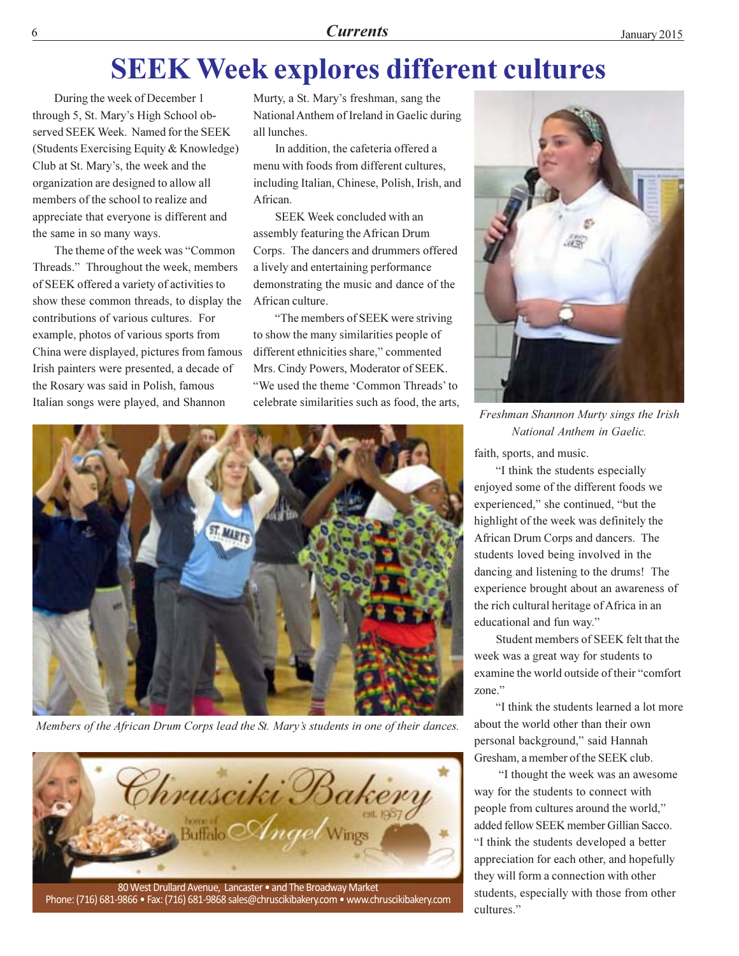### **Currents**

## **SEEK Week explores different cultures**

During the week of December 1 through 5, St. Mary's High School observed SEEK Week. Named for the SEEK (Students Exercising Equity & Knowledge) Club at St. Mary's, the week and the organization are designed to allow all members of the school to realize and appreciate that everyone is different and the same in so many ways.

The theme of the week was "Common" Threads." Throughout the week, members of SEEK offered a variety of activities to show these common threads, to display the contributions of various cultures. For example, photos of various sports from China were displayed, pictures from famous Irish painters were presented, a decade of the Rosary was said in Polish, famous Italian songs were played, and Shannon

Murty, a St. Mary's freshman, sang the National Anthem of Ireland in Gaelic during all lunches

In addition, the cafeteria offered a menu with foods from different cultures, including Italian, Chinese, Polish, Irish, and African.

SEEK Week concluded with an assembly featuring the African Drum Corps. The dancers and drummers offered a lively and entertaining performance demonstrating the music and dance of the African culture.

"The members of SEEK were striving to show the many similarities people of different ethnicities share," commented Mrs. Cindy Powers, Moderator of SEEK. "We used the theme 'Common Threads' to celebrate similarities such as food, the arts.



Members of the African Drum Corps lead the St. Mary's students in one of their dances.



Phone: (716) 681-9866 · Fax: (716) 681-9868 sales@chruscikibakery.com · www.chruscikibakery.com



Freshman Shannon Murty sings the Irish National Anthem in Gaelic.

faith, sports, and music.

"I think the students especially enjoyed some of the different foods we experienced," she continued, "but the highlight of the week was definitely the African Drum Corps and dancers. The students loved being involved in the dancing and listening to the drums! The experience brought about an awareness of the rich cultural heritage of Africa in an educational and fun way."

Student members of SEEK felt that the week was a great way for students to examine the world outside of their "comfort" zone."

"I think the students learned a lot more about the world other than their own personal background," said Hannah Gresham, a member of the SEEK club.

"I thought the week was an awesome way for the students to connect with people from cultures around the world," added fellow SEEK member Gillian Sacco. "I think the students developed a better appreciation for each other, and hopefully they will form a connection with other students, especially with those from other cultures."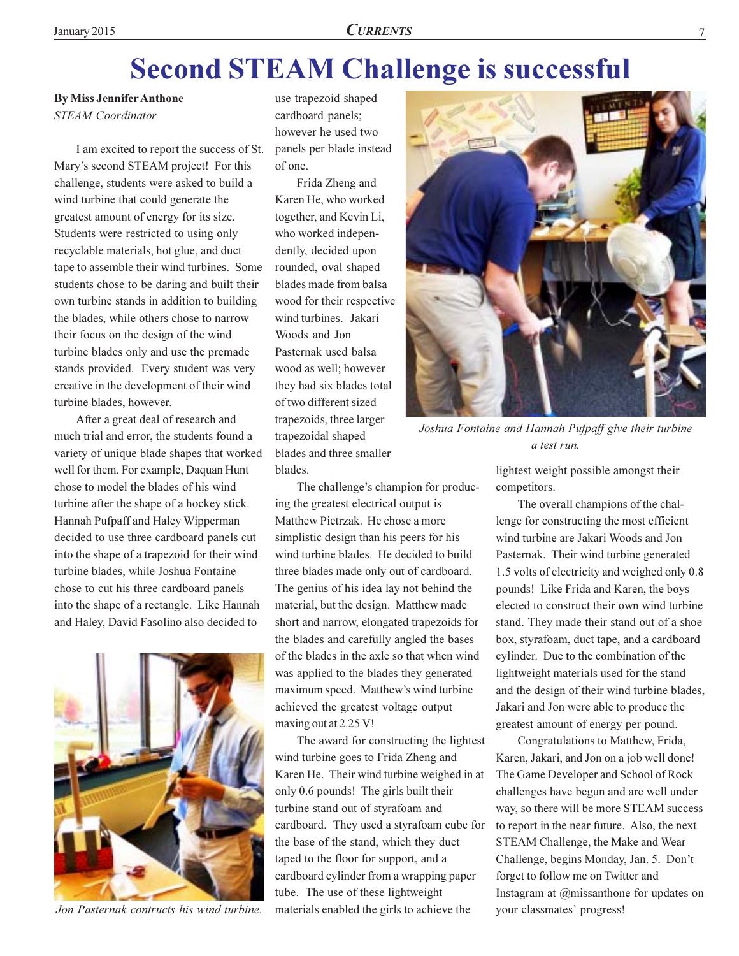## **Second STEAM Challenge is successful**

**By Miss Jennifer Anthone STEAM** Coordinator

I am excited to report the success of St. Mary's second STEAM project! For this challenge, students were asked to build a wind turbine that could generate the greatest amount of energy for its size. Students were restricted to using only recyclable materials, hot glue, and duct tape to assemble their wind turbines. Some students chose to be daring and built their own turbine stands in addition to building the blades, while others chose to narrow their focus on the design of the wind turbine blades only and use the premade stands provided. Every student was very creative in the development of their wind turbine blades, however.

After a great deal of research and much trial and error, the students found a variety of unique blade shapes that worked well for them. For example, Daquan Hunt chose to model the blades of his wind turbine after the shape of a hockey stick. Hannah Pufpaff and Haley Wipperman decided to use three cardboard panels cut into the shape of a trapezoid for their wind turbine blades, while Joshua Fontaine chose to cut his three cardboard panels into the shape of a rectangle. Like Hannah and Haley, David Fasolino also decided to



Jon Pasternak contructs his wind turbine.

use trapezoid shaped cardboard panels; however he used two panels per blade instead of one.

Frida Zheng and Karen He, who worked together, and Kevin Li, who worked independently, decided upon rounded, oval shaped blades made from balsa wood for their respective wind turbines. Jakari Woods and Jon Pasternak used balsa wood as well; however they had six blades total of two different sized trapezoids, three larger trapezoidal shaped blades and three smaller blades.

The challenge's champion for producing the greatest electrical output is Matthew Pietrzak. He chose a more simplistic design than his peers for his wind turbine blades. He decided to build three blades made only out of cardboard. The genius of his idea lay not behind the material, but the design. Matthew made short and narrow, elongated trapezoids for the blades and carefully angled the bases of the blades in the axle so that when wind was applied to the blades they generated maximum speed. Matthew's wind turbine achieved the greatest voltage output maxing out at 2.25 V!

The award for constructing the lightest wind turbine goes to Frida Zheng and Karen He. Their wind turbine weighed in at only 0.6 pounds! The girls built their turbine stand out of styrafoam and cardboard. They used a styrafoam cube for the base of the stand, which they duct taped to the floor for support, and a cardboard cylinder from a wrapping paper tube. The use of these lightweight materials enabled the girls to achieve the



Joshua Fontaine and Hannah Pufpaff give their turbine a test run.

lightest weight possible amongst their competitors.

The overall champions of the challenge for constructing the most efficient wind turbine are Jakari Woods and Jon Pasternak. Their wind turbine generated 1.5 volts of electricity and weighed only 0.8 pounds! Like Frida and Karen, the boys elected to construct their own wind turbine stand. They made their stand out of a shoe box, styrafoam, duct tape, and a cardboard cylinder. Due to the combination of the lightweight materials used for the stand and the design of their wind turbine blades, Jakari and Jon were able to produce the greatest amount of energy per pound.

Congratulations to Matthew, Frida, Karen, Jakari, and Jon on a job well done! The Game Developer and School of Rock challenges have begun and are well under way, so there will be more STEAM success to report in the near future. Also, the next STEAM Challenge, the Make and Wear Challenge, begins Monday, Jan. 5. Don't forget to follow me on Twitter and Instagram at  $@$ missanthone for updates on your classmates' progress!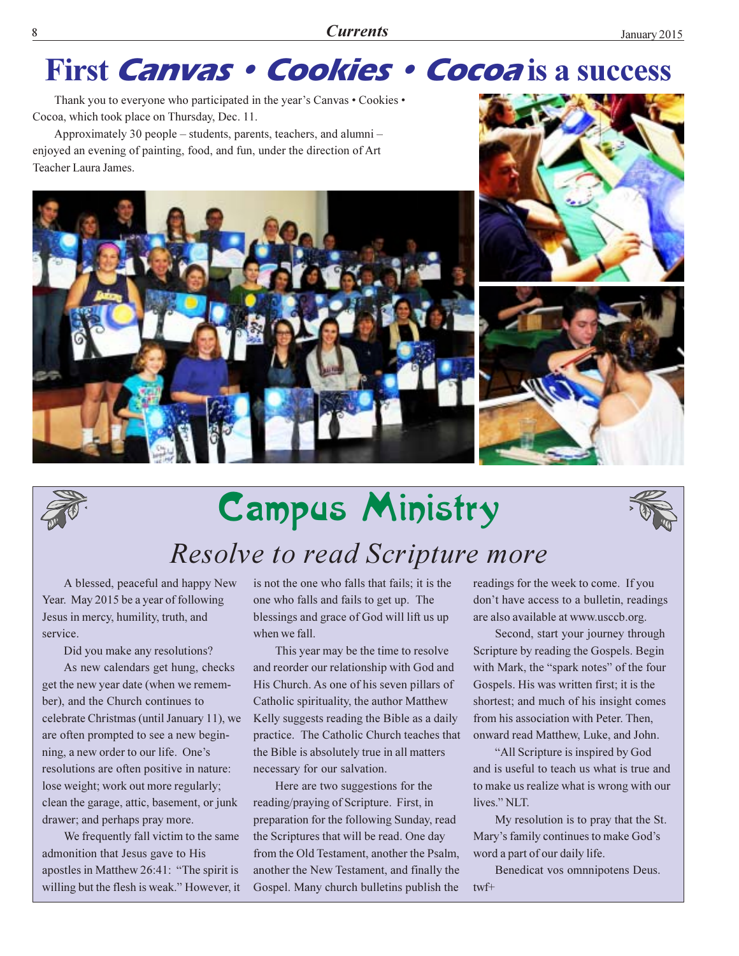## First Canvas · Cookies · Cocoa is a success

Thank you to everyone who participated in the year's Canvas . Cookies . Cocoa, which took place on Thursday, Dec. 11.

Approximately 30 people – students, parents, teachers, and alumni – enjoyed an evening of painting, food, and fun, under the direction of Art Teacher Laura James.







## **Campus Ministry**



## Resolve to read Scripture more

A blessed, peaceful and happy New Year. May 2015 be a year of following Jesus in mercy, humility, truth, and service.

Did you make any resolutions?

As new calendars get hung, checks get the new year date (when we remember), and the Church continues to celebrate Christmas (until January 11), we are often prompted to see a new beginning, a new order to our life. One's resolutions are often positive in nature: lose weight; work out more regularly; clean the garage, attic, basement, or junk drawer; and perhaps pray more.

We frequently fall victim to the same admonition that Jesus gave to His apostles in Matthew 26:41: "The spirit is willing but the flesh is weak." However, it is not the one who falls that fails; it is the one who falls and fails to get up. The blessings and grace of God will lift us up when we fall.

This year may be the time to resolve and reorder our relationship with God and His Church. As one of his seven pillars of Catholic spirituality, the author Matthew Kelly suggests reading the Bible as a daily practice. The Catholic Church teaches that the Bible is absolutely true in all matters necessary for our salvation.

Here are two suggestions for the reading/praying of Scripture. First, in preparation for the following Sunday, read the Scriptures that will be read. One day from the Old Testament, another the Psalm, another the New Testament, and finally the Gospel. Many church bulletins publish the readings for the week to come. If you don't have access to a bulletin, readings are also available at www.usccb.org.

Second, start your journey through Scripture by reading the Gospels. Begin with Mark, the "spark notes" of the four Gospels. His was written first; it is the shortest; and much of his insight comes from his association with Peter. Then, onward read Matthew, Luke, and John.

"All Scripture is inspired by God and is useful to teach us what is true and to make us realize what is wrong with our lives." NLT.

My resolution is to pray that the St. Mary's family continues to make God's word a part of our daily life.

Benedicat vos omnnipotens Deus.  $twf+$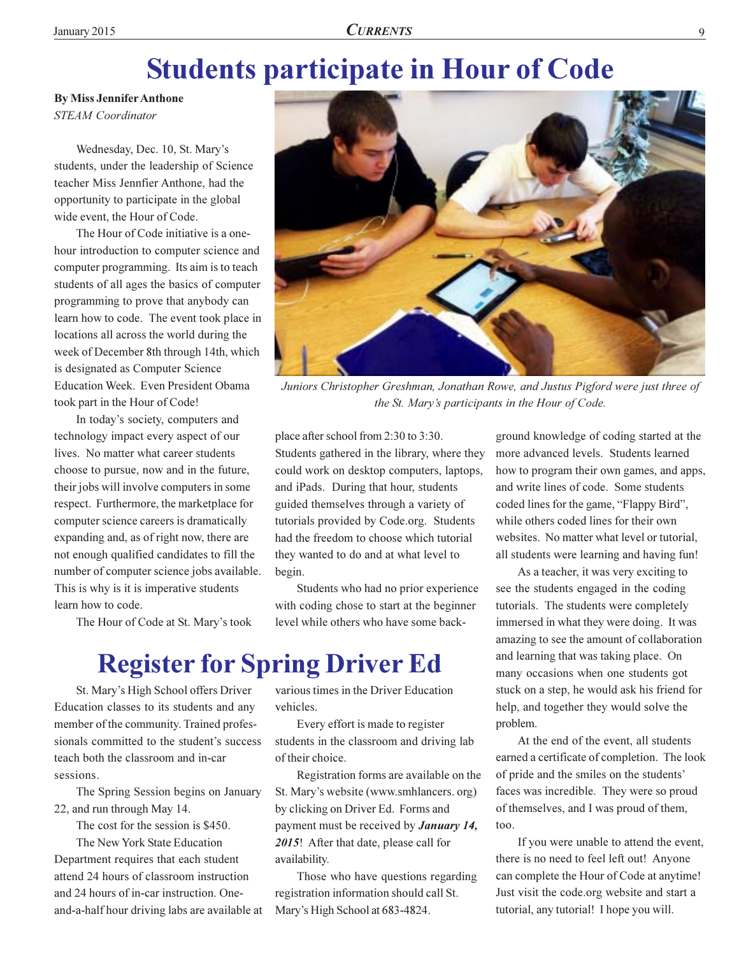## **Students participate in Hour of Code**

**By Miss Jennifer Anthone STEAM** Coordinator

Wednesday, Dec. 10, St. Mary's students, under the leadership of Science teacher Miss Jennfier Anthone, had the opportunity to participate in the global wide event, the Hour of Code.

The Hour of Code initiative is a onehour introduction to computer science and computer programming. Its aim is to teach students of all ages the basics of computer programming to prove that anybody can learn how to code. The event took place in locations all across the world during the week of December 8th through 14th, which is designated as Computer Science Education Week. Even President Obama took part in the Hour of Code!

In today's society, computers and technology impact every aspect of our lives. No matter what career students choose to pursue, now and in the future, their jobs will involve computers in some respect. Furthermore, the marketplace for computer science careers is dramatically expanding and, as of right now, there are not enough qualified candidates to fill the number of computer science jobs available. This is why is it is imperative students learn how to code.

The Hour of Code at St. Mary's took

with coding chose to start at the beginner level while others who have some back-

### **Register for Spring Driver Ed**

begin.

St. Mary's High School offers Driver Education classes to its students and any member of the community. Trained professionals committed to the student's success teach both the classroom and in-car sessions.

The Spring Session begins on January 22, and run through May 14.

The cost for the session is \$450.

The New York State Education Department requires that each student attend 24 hours of classroom instruction and 24 hours of in-car instruction. Oneand-a-half hour driving labs are available at various times in the Driver Education vehicles.

place after school from 2:30 to 3:30.

Students gathered in the library, where they

could work on desktop computers, laptops,

and iPads. During that hour, students

guided themselves through a variety of

tutorials provided by Code.org. Students

had the freedom to choose which tutorial

Students who had no prior experience

they wanted to do and at what level to

Every effort is made to register students in the classroom and driving lab of their choice.

Registration forms are available on the St. Mary's website (www.smhlancers.org) by clicking on Driver Ed. Forms and payment must be received by **January 14**, 2015! After that date, please call for availability.

Those who have questions regarding registration information should call St. Mary's High School at 683-4824.

ground knowledge of coding started at the more advanced levels. Students learned how to program their own games, and apps, and write lines of code. Some students coded lines for the game, "Flappy Bird", while others coded lines for their own websites. No matter what level or tutorial, all students were learning and having fun!

As a teacher, it was very exciting to see the students engaged in the coding tutorials. The students were completely immersed in what they were doing. It was amazing to see the amount of collaboration and learning that was taking place. On many occasions when one students got stuck on a step, he would ask his friend for help, and together they would solve the problem.

At the end of the event, all students earned a certificate of completion. The look of pride and the smiles on the students' faces was incredible. They were so proud of themselves, and I was proud of them,  $\mathsf{too}$ .

If you were unable to attend the event, there is no need to feel left out! Anyone can complete the Hour of Code at anytime! Just visit the code.org website and start a tutorial, any tutorial! I hope you will.



Juniors Christopher Greshman, Jonathan Rowe, and Justus Pigford were just three of the St. Mary's participants in the Hour of Code.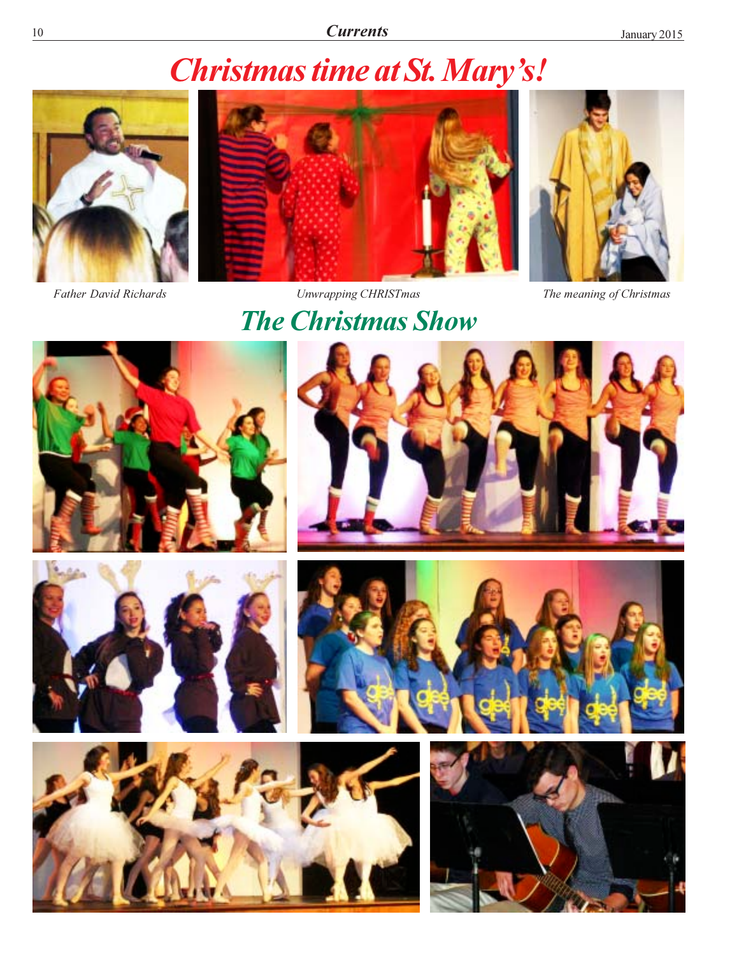## **Christmas time at St. Mary's!**



Father David Richards



**Unwrapping CHRISTmas** 

**The Christmas Show** 

The meaning of Christmas















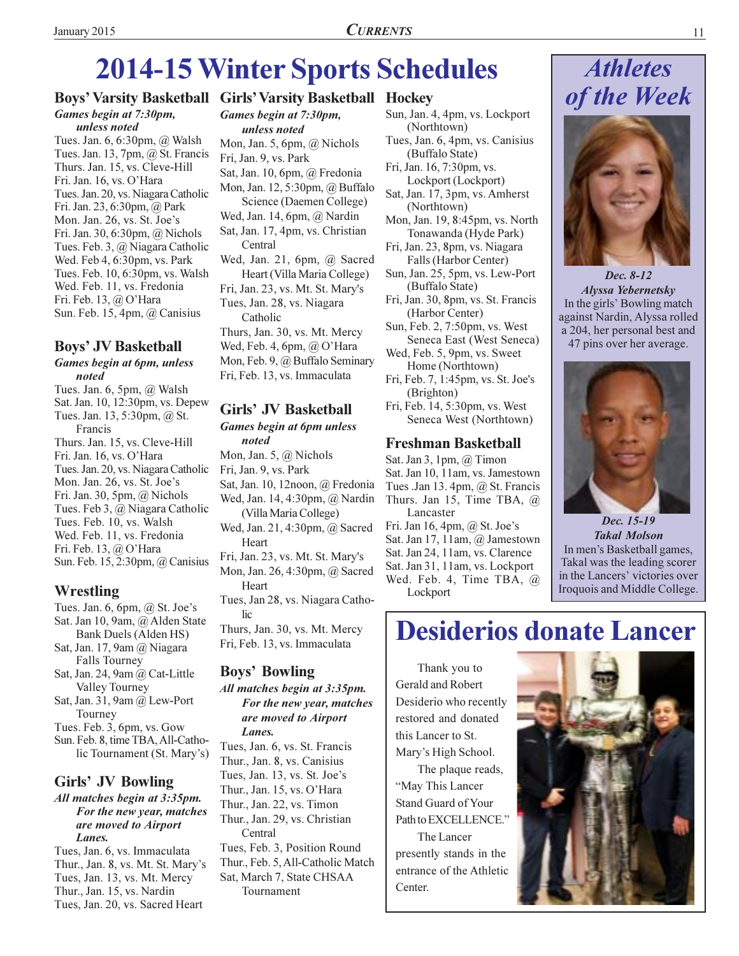## **2014-15 Winter Sports Schedules**

## Games begin at 7:30pm,

unless noted

Tues. Jan. 6, 6:30pm, @ Walsh Tues. Jan. 13, 7pm, @ St. Francis Thurs. Jan. 15, vs. Cleve-Hill Fri. Jan. 16, vs. O'Hara Tues. Jan. 20, vs. Niagara Catholic Fri. Jan. 23, 6:30pm, @ Park Mon. Jan. 26, vs. St. Joe's Fri. Jan. 30, 6:30pm, @ Nichols Tues. Feb. 3, @ Niagara Catholic Wed. Feb 4, 6:30pm, vs. Park Tues. Feb. 10, 6:30pm, vs. Walsh Wed. Feb. 11, vs. Fredonia Fri. Feb. 13, @ O'Hara Sun. Feb. 15, 4pm, @ Canisius

### **Boys' JV Basketball**

#### Games begin at 6pm, unless noted

Tues. Jan. 6, 5pm, @ Walsh Sat. Jan. 10, 12:30pm, vs. Depew Tues. Jan. 13, 5:30pm, @ St. Francis Thurs. Jan. 15, vs. Cleve-Hill Fri. Jan. 16, vs. O'Hara Tues. Jan. 20, vs. Niagara Catholic Mon. Jan. 26, vs. St. Joe's Fri. Jan. 30, 5pm,  $@$  Nichols Tues. Feb 3, @ Niagara Catholic Tues. Feb. 10, vs. Walsh Wed. Feb. 11, vs. Fredonia Fri. Feb. 13, @ O'Hara Sun. Feb. 15, 2:30pm, @ Canisius

### Wrestling

- Tues. Jan. 6, 6pm,  $\omega$  St. Joe's Sat. Jan 10, 9am, @ Alden State Bank Duels (Alden HS)
- Sat, Jan. 17, 9am  $\omega$  Niagara **Falls Tourney**
- Sat, Jan. 24, 9am @ Cat-Little Valley Tourney
- Sat, Jan. 31, 9am  $@$  Lew-Port Tourney
- Tues. Feb. 3, 6pm, vs. Gow

Sun. Feb. 8, time TBA, All-Catholic Tournament (St. Mary's)

### Girls' JV Bowling

All matches begin at 3:35pm. For the new year, matches are moved to Airport Lanes.

Tues, Jan. 6, vs. Immaculata Thur., Jan. 8, vs. Mt. St. Mary's Tues, Jan. 13, vs. Mt. Mercy Thur., Jan. 15, vs. Nardin Tues, Jan. 20, vs. Sacred Heart

### **Boys' Varsity Basketball Girls' Varsity Basketball Hockey**

Games begin at 7:30pm, unless noted Mon, Jan. 5, 6pm,  $\omega$  Nichols Fri, Jan. 9, vs. Park Sat, Jan. 10, 6pm, @ Fredonia Mon, Jan. 12, 5:30pm, @ Buffalo Science (Daemen College) Wed, Jan. 14, 6pm,  $(a)$  Nardin Sat, Jan. 17, 4pm, vs. Christian Central Wed, Jan. 21, 6pm, @ Sacred Heart (Villa Maria College) Fri, Jan. 23, vs. Mt. St. Mary's Tues, Jan. 28, vs. Niagara Catholic Thurs, Jan. 30, vs. Mt. Mercy Wed, Feb. 4, 6pm,  $@$  O'Hara Mon, Feb. 9, @ Buffalo Seminary Fri, Feb. 13, vs. Immaculata

### **Girls' JV Basketball**

**Games begin at 6pm unless** noted Mon, Jan. 5,  $\omega$  Nichols

Fri, Jan. 9, vs. Park Sat, Jan. 10, 12noon, @ Fredonia Wed, Jan. 14, 4:30pm, @ Nardin (Villa Maria College) Wed, Jan. 21, 4:30pm, @ Sacred Heart Fri, Jan. 23, vs. Mt. St. Mary's Mon, Jan. 26, 4:30pm, @ Sacred Heart

Tues, Jan 28, vs. Niagara Catholic Thurs, Jan. 30, vs. Mt. Mercy

Fri, Feb. 13, vs. Immaculata

### **Boys' Bowling**

All matches begin at 3:35pm. For the new year, matches are moved to Airport Lanes.

Tues, Jan. 6, vs. St. Francis Thur., Jan. 8, vs. Canisius Tues, Jan. 13, vs. St. Joe's Thur., Jan. 15, vs. O'Hara Thur., Jan. 22, vs. Timon Thur., Jan. 29, vs. Christian Central Tues, Feb. 3, Position Round Thur., Feb. 5, All-Catholic Match Sat. March 7. State CHSAA Tournament

- Sun, Jan. 4, 4pm, vs. Lockport (Northtown)
- Tues, Jan. 6, 4pm, vs. Canisius (Buffalo State)

Fri, Jan. 16, 7:30pm, vs. Lockport (Lockport)

- Sat, Jan. 17, 3pm, vs. Amherst (Northtown)
- Mon, Jan. 19, 8:45pm, vs. North Tonawanda (Hyde Park)
- Fri, Jan. 23, 8pm, vs. Niagara Falls (Harbor Center)
- Sun, Jan. 25, 5pm, vs. Lew-Port (Buffalo State)
- Fri, Jan. 30, 8pm, vs. St. Francis (Harbor Center)
- Sun, Feb. 2, 7:50pm, vs. West Seneca East (West Seneca)
- Wed, Feb. 5, 9pm, vs. Sweet Home (Northtown)
- Fri, Feb. 7, 1:45pm, vs. St. Joe's (Brighton)
- Fri, Feb. 14, 5:30pm, vs. West Seneca West (Northtown)

### **Freshman Basketball**

Sat. Jan 3, 1pm,  $@$  Timon Sat. Jan 10, 11am, vs. Jamestown Tues .Jan 13. 4pm,  $\omega$  St. Francis Thurs. Jan 15, Time TBA,  $\omega$ Lancaster Fri. Jan 16, 4pm,  $\omega$  St. Joe's Sat. Jan 17, 11am, @ Jamestown Sat. Jan 24, 11am, vs. Clarence Sat. Jan 31, 11am, vs. Lockport

Wed. Feb. 4, Time TBA, @ Lockport

## **Athletes** of the Week



Dec. 8-12 **Alyssa Yebernetsky** In the girls' Bowling match against Nardin, Alyssa rolled a 204, her personal best and 47 pins over her average.



Dec. 15-19 **Takal Molson** In men's Basketball games, Takal was the leading scorer in the Lancers' victories over Iroquois and Middle College.

## **Desiderios donate Lancer**

Thank you to Gerald and Robert Desiderio who recently restored and donated this Lancer to St. Mary's High School. The plaque reads, "May This Lancer **Stand Guard of Your** Path to EXCELLENCE." The Lancer presently stands in the entrance of the Athletic

Center.

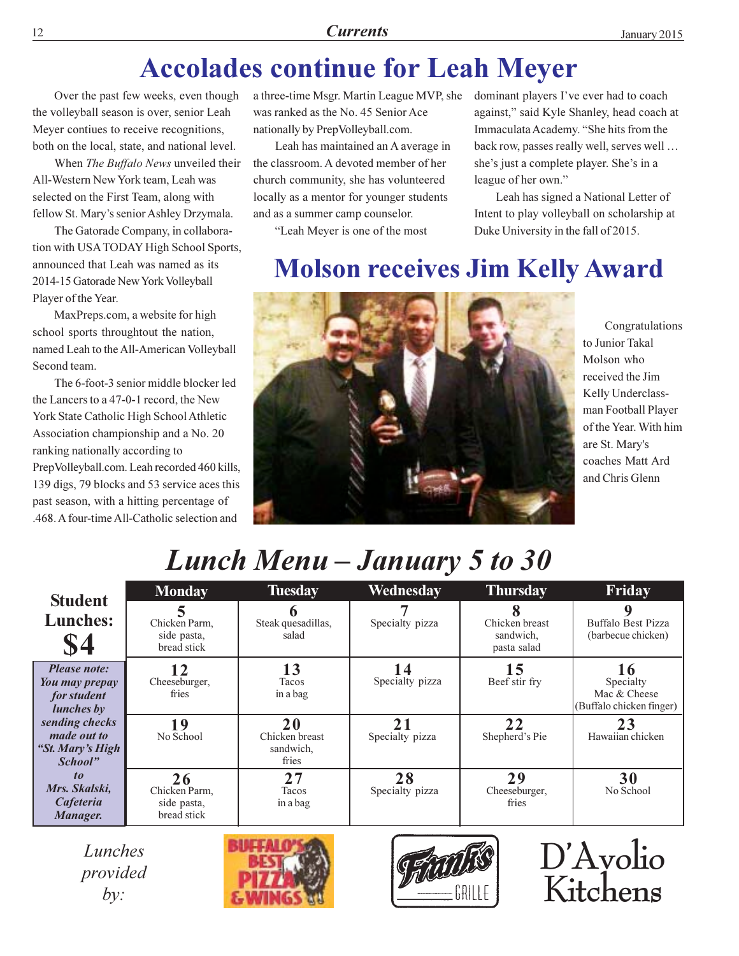## **Accolades continue for Leah Meyer**

Over the past few weeks, even though the volleyball season is over, senior Leah Meyer contiues to receive recognitions, both on the local, state, and national level.

12

When The Buffalo News unveiled their All-Western New York team, Leah was selected on the First Team, along with fellow St. Mary's senior Ashley Drzymala.

The Gatorade Company, in collaboration with USA TODAY High School Sports, announced that Leah was named as its 2014-15 Gatorade New York Volleyball Player of the Year.

MaxPreps.com, a website for high school sports throughtout the nation, named Leah to the All-American Volleyball Second team.

The 6-foot-3 senior middle blocker led the Lancers to a 47-0-1 record, the New York State Catholic High School Athletic Association championship and a No. 20 ranking nationally according to PrepVolleyball.com. Leah recorded 460 kills, 139 digs, 79 blocks and 53 service aces this past season, with a hitting percentage of .468. A four-time All-Catholic selection and

a three-time Msgr. Martin League MVP, she was ranked as the No. 45 Senior Ace nationally by PrepVolleyball.com.

Leah has maintained an A average in the classroom. A devoted member of her church community, she has volunteered locally as a mentor for younger students and as a summer camp counselor.

"Leah Meyer is one of the most

dominant players I've ever had to coach against," said Kyle Shanley, head coach at Immaculata Academy. "She hits from the back row, passes really well, serves well ... she's just a complete player. She's in a league of her own."

Leah has signed a National Letter of Intent to play volleyball on scholarship at Duke University in the fall of 2015.

## **Molson receives Jim Kelly Award**



Congratulations to Junior Takal Molson who received the Jim Kelly Underclassman Football Player of the Year. With him are St. Mary's coaches Matt Ard and Chris Glenn

D'Avolio

Kitchens

## Lunch Menu - January 5 to 30

|                                                                           | <b>Monday</b>                                     | <b>Tuesday</b>                             | Wednesday             | <b>Thursday</b>                            | Friday                                                |
|---------------------------------------------------------------------------|---------------------------------------------------|--------------------------------------------|-----------------------|--------------------------------------------|-------------------------------------------------------|
| <b>Student</b><br><b>Lunches:</b><br><b>\$4</b>                           | Chicken Parm,<br>side pasta,<br>bread stick       | Steak quesadillas,<br>salad                | Specialty pizza       | Chicken breast<br>sandwich,<br>pasta salad | Buffalo Best Pizza<br>(barbecue chicken)              |
| <b>Please note:</b><br>You may prepay<br>for student<br><i>lunches</i> by | 17<br>Cheeseburger,<br>fries                      | 13<br>Tacos<br>in a bag                    | Specialty pizza       | 15<br>Beef stir fry                        | Specialty<br>Mac & Cheese<br>(Buffalo chicken finger) |
| sending checks<br><i>made out to</i><br>"St. Mary's High<br>School"       | 19<br>No School                                   | 20<br>Chicken breast<br>sandwich,<br>fries | 21<br>Specialty pizza | 22<br>Shepherd's Pie                       | 23<br>Hawaiian chicken                                |
| $\boldsymbol{10}$<br>Mrs. Skalski,<br>Cafeteria<br>Manager.               | 26<br>Chicken Parm.<br>side pasta,<br>bread stick | 27<br>Tacos<br>in a bag                    | 28<br>Specialty pizza | 29<br>Cheeseburger,<br>fries               | 30<br>No School                                       |

Lunches provided  $by:$ 



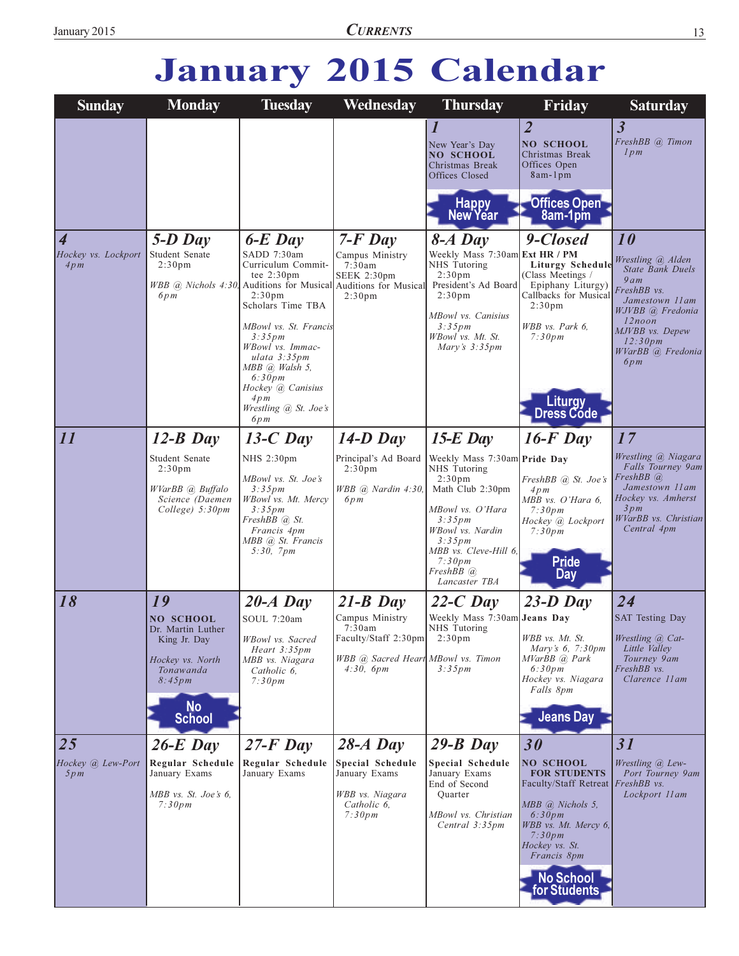## January 2015 Calendar

| <b>Sunday</b>                               | <b>Monday</b>                                                                                                                        | <b>Tuesday</b>                                                                                                                                                                                                                                                                                                                                           | Wednesday                                                                                                          | <b>Thursday</b>                                                                                                                                                                                                                     | Friday                                                                                                                                                                                                                  | <b>Saturday</b>                                                                                                                                                                       |
|---------------------------------------------|--------------------------------------------------------------------------------------------------------------------------------------|----------------------------------------------------------------------------------------------------------------------------------------------------------------------------------------------------------------------------------------------------------------------------------------------------------------------------------------------------------|--------------------------------------------------------------------------------------------------------------------|-------------------------------------------------------------------------------------------------------------------------------------------------------------------------------------------------------------------------------------|-------------------------------------------------------------------------------------------------------------------------------------------------------------------------------------------------------------------------|---------------------------------------------------------------------------------------------------------------------------------------------------------------------------------------|
|                                             |                                                                                                                                      |                                                                                                                                                                                                                                                                                                                                                          |                                                                                                                    | New Year's Day<br><b>NO SCHOOL</b><br>Christmas Break<br>Offices Closed<br>Happy<br>New Year                                                                                                                                        | $\overline{2}$<br><b>NO SCHOOL</b><br>Christmas Break<br>Offices Open<br>8am-1pm<br>Offices Open<br>8am-1pm                                                                                                             | $\overline{3}$<br>FreshBB @ Timon<br>lpm                                                                                                                                              |
| $\vert 4$<br>Hockey vs. Lockport<br>4pm     | $5-D$ Day<br>Student Senate<br>2:30 <sub>pm</sub><br>6pm                                                                             | $6-E$ Day<br>SADD 7:30am<br>Curriculum Commit-<br>tee $2:30 \text{pm}$<br>WBB @ Nichols 4:30, Auditions for Musical Auditions for Musical<br>2:30 <sub>pm</sub><br>Scholars Time TBA<br>MBowl vs. St. Francis<br>3:35pm<br>WBowl vs. Immac-<br>$ulata$ 3:35 $pm$<br>MBB @ Walsh 5,<br>6:30pm<br>Hockey @ Canisius<br>4pm<br>Wrestling @ St. Joe's<br>6pm | $7-F$ Day<br>Campus Ministry<br>7:30am<br>SEEK 2:30pm<br>2:30 <sub>pm</sub>                                        | $8-A$ Day<br>Weekly Mass 7:30am Ext HR / PM<br>NHS Tutoring<br>2:30 <sub>pm</sub><br>President's Ad Board<br>2:30 <sub>pm</sub><br>MBowl vs. Canisius<br>3:35pm<br>WBowl vs. Mt. St.<br>Mary's $3:35$ pm                            | 9-Closed<br><b>Liturgy Schedule</b><br>(Class Meetings /<br>Epiphany Liturgy)<br>Callbacks for Musical<br>2:30 <sub>pm</sub><br>WBB vs. Park 6,<br>7:30pm<br><b>Liturgy</b><br>Dress Code                               | 10<br>Wrestling @ Alden<br><b>State Bank Duels</b><br>9am<br>FreshBB vs.<br>Jamestown 11am<br>WJVBB @ Fredonia<br>$12$ noon<br>MJVBB vs. Depew<br>12:30pm<br>WVarBB @ Fredonia<br>6pm |
| $\overline{11}$                             | $12-B$ Day<br>Student Senate<br>2:30 <sub>pm</sub><br>WVarBB (a) Buffalo<br>Science (Daemen<br>College) 5:30pm                       | $13-C$ Day<br>NHS 2:30pm<br>MBowl vs. St. Joe's<br>$3:35 \, pm$<br>WBowl vs. Mt. Mercy<br>3:35pm<br>FreshBB @ St.<br>Francis 4pm<br>MBB @ St. Francis<br>5:30, 7pm                                                                                                                                                                                       | $14-D$ Day<br>Principal's Ad Board<br>2:30 <sub>pm</sub><br>WBB @ Nardin 4:30,<br>6pm                              | $15-E$ Day<br>Weekly Mass 7:30am Pride Day<br>NHS Tutoring<br>2:30 <sub>pm</sub><br>Math Club 2:30pm<br>MBowl vs. O'Hara<br>3:35pm<br>WBowl vs. Nardin<br>3:35pm<br>MBB vs. Cleve-Hill 6,<br>7:30pm<br>FreshBB (a)<br>Lancaster TBA | $16$ -F Day<br>FreshBB @ St. Joe's<br>4pm<br>MBB vs. O'Hara 6,<br>7:30pm<br>Hockey @ Lockport<br>7:30pm<br><b>Pride</b><br>Day                                                                                          | 17<br>Wrestling @ Niagara<br>Falls Tourney 9am<br>FreshBB @<br>Jamestown 11am<br>Hockey vs. Amherst<br>3pm<br>WVarBB vs. Christian<br>Central 4pm                                     |
| 18                                          | 19<br><b>NO SCHOOL</b><br>Dr. Martin Luther<br>King Jr. Day<br>Hockey vs. North<br>Tonawanda<br>8:45pm<br><b>No</b><br><b>School</b> | $20-A$ Day<br>SOUL 7:20am<br>WBowl vs. Sacred<br>Heart 3:35pm<br>MBB vs. Niagara<br>Catholic 6,<br>7:30pm                                                                                                                                                                                                                                                | $21-B$ Day<br>Campus Ministry<br>7:30am<br>Faculty/Staff 2:30pm<br>WBB @ Sacred Heart MBowl vs. Timon<br>4:30, 6pm | $22-C$ Day<br>Weekly Mass 7:30am Jeans Day<br>NHS Tutoring<br>2:30 <sub>pm</sub><br>3:35pm                                                                                                                                          | $23-D$ Day<br>WBB vs. Mt. St.<br><i>Mary's</i> $6, 7:30 \text{pm}$<br>MVarBB @, Park<br>6:30pm<br>Hockey vs. Niagara<br>Falls 8pm<br><b>Jeans Day</b>                                                                   | 24<br><b>SAT Testing Day</b><br>Wrestling <i>(a)</i> Cat-<br>Little Valley<br>Tourney 9am<br>FreshBB vs.<br>Clarence 11am                                                             |
| $\overline{25}$<br>Hockey @ Lew-Port<br>5pm | $26-E$ Day<br>Regular Schedule<br>January Exams<br>MBB vs. St. Joe's 6,<br>7:30pm                                                    | $27-F$ Day<br>Regular Schedule<br>January Exams                                                                                                                                                                                                                                                                                                          | $28-A$ Day<br>Special Schedule<br>January Exams<br>WBB vs. Niagara<br>Catholic 6,<br>7:30pm                        | $29 - B$ Day<br>Special Schedule<br>January Exams<br>End of Second<br>Quarter<br>MBowl vs. Christian<br>Central 3:35pm                                                                                                              | 30<br><b>NO SCHOOL</b><br><b>FOR STUDENTS</b><br>Faculty/Staff Retreat FreshBB vs.<br>MBB @ Nichols 5,<br>6:30pm<br>WBB vs. Mt. Mercy 6,<br>7:30pm<br>Hockey vs. St.<br>Francis 8pm<br><b>No School</b><br>for Students | 31<br>Wrestling @ Lew-<br>Port Tourney 9am<br>Lockport 11am                                                                                                                           |